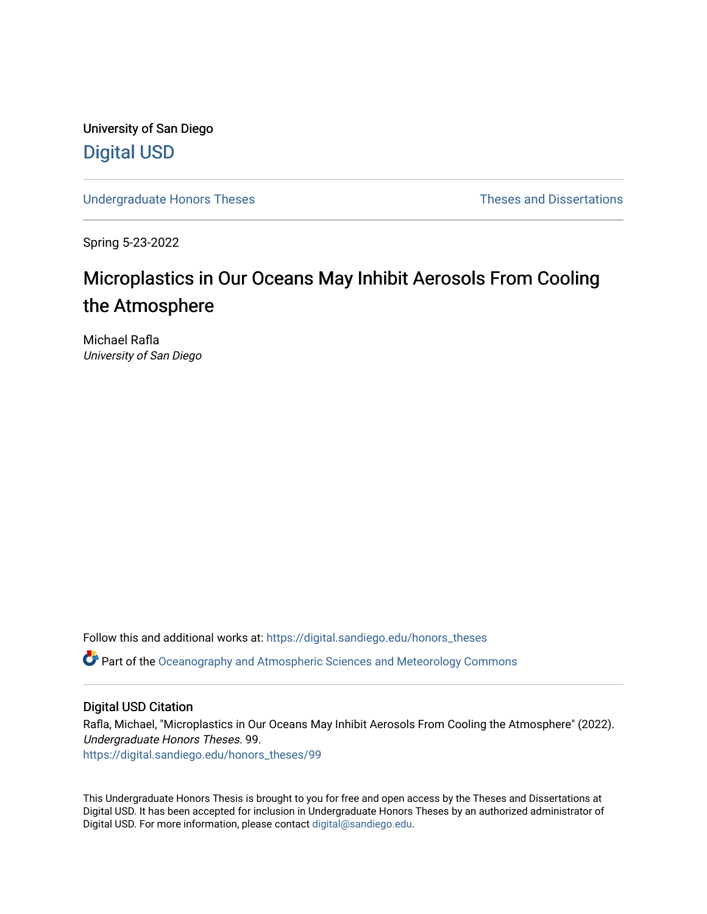University of San Diego [Digital USD](https://digital.sandiego.edu/)

[Undergraduate Honors Theses](https://digital.sandiego.edu/honors_theses) **Theses** Theses and Dissertations

Spring 5-23-2022

# Microplastics in Our Oceans May Inhibit Aerosols From Cooling the Atmosphere

Michael Rafla University of San Diego

Follow this and additional works at: [https://digital.sandiego.edu/honors\\_theses](https://digital.sandiego.edu/honors_theses?utm_source=digital.sandiego.edu%2Fhonors_theses%2F99&utm_medium=PDF&utm_campaign=PDFCoverPages)

**P** Part of the [Oceanography and Atmospheric Sciences and Meteorology Commons](https://network.bepress.com/hgg/discipline/186?utm_source=digital.sandiego.edu%2Fhonors_theses%2F99&utm_medium=PDF&utm_campaign=PDFCoverPages)

# Digital USD Citation

Rafla, Michael, "Microplastics in Our Oceans May Inhibit Aerosols From Cooling the Atmosphere" (2022). Undergraduate Honors Theses. 99. [https://digital.sandiego.edu/honors\\_theses/99](https://digital.sandiego.edu/honors_theses/99?utm_source=digital.sandiego.edu%2Fhonors_theses%2F99&utm_medium=PDF&utm_campaign=PDFCoverPages) 

This Undergraduate Honors Thesis is brought to you for free and open access by the Theses and Dissertations at Digital USD. It has been accepted for inclusion in Undergraduate Honors Theses by an authorized administrator of Digital USD. For more information, please contact [digital@sandiego.edu](mailto:digital@sandiego.edu).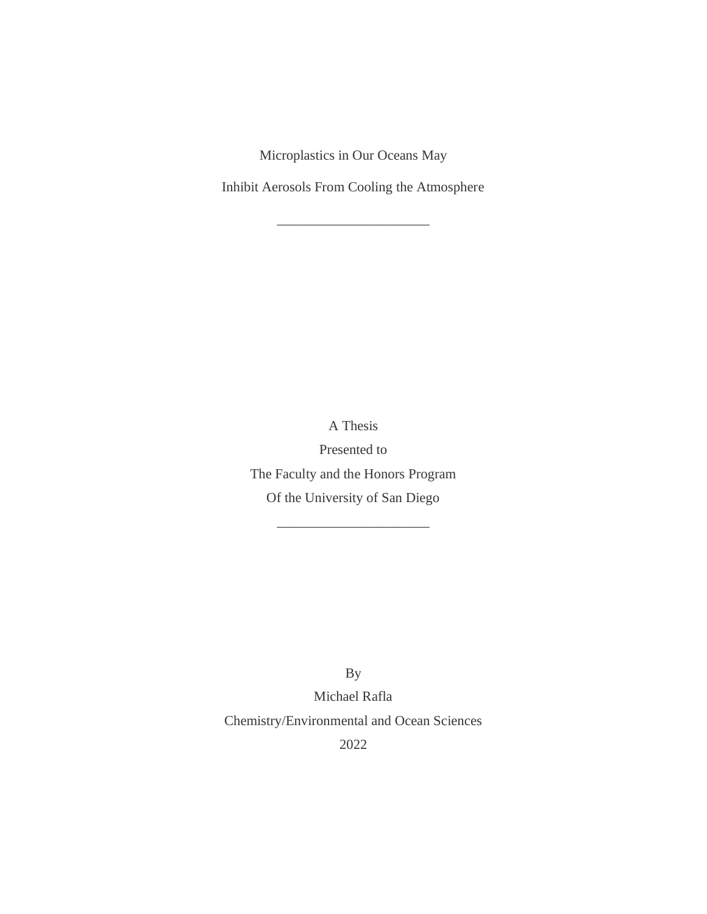Microplastics in Our Oceans May

Inhibit Aerosols From Cooling the Atmosphere

\_\_\_\_\_\_\_\_\_\_\_\_\_\_\_\_\_\_\_\_\_\_

A Thesis

Presented to The Faculty and the Honors Program Of the University of San Diego

\_\_\_\_\_\_\_\_\_\_\_\_\_\_\_\_\_\_\_\_\_\_

By

Michael Rafla Chemistry/Environmental and Ocean Sciences

2022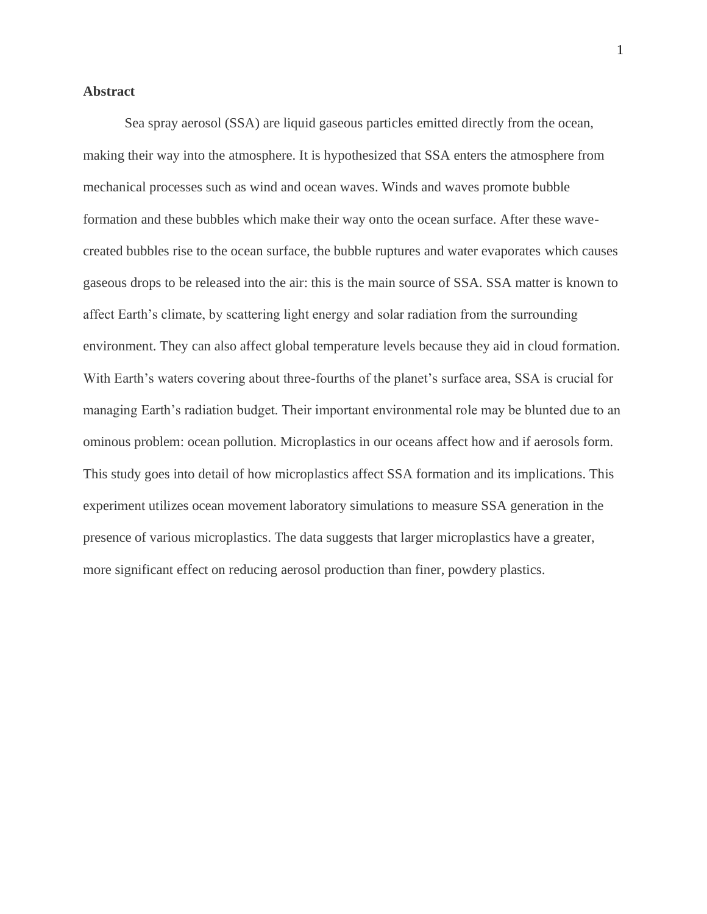## **Abstract**

Sea spray aerosol (SSA) are liquid gaseous particles emitted directly from the ocean, making their way into the atmosphere. It is hypothesized that SSA enters the atmosphere from mechanical processes such as wind and ocean waves. Winds and waves promote bubble formation and these bubbles which make their way onto the ocean surface. After these wavecreated bubbles rise to the ocean surface, the bubble ruptures and water evaporates which causes gaseous drops to be released into the air: this is the main source of SSA. SSA matter is known to affect Earth's climate, by scattering light energy and solar radiation from the surrounding environment. They can also affect global temperature levels because they aid in cloud formation. With Earth's waters covering about three-fourths of the planet's surface area, SSA is crucial for managing Earth's radiation budget. Their important environmental role may be blunted due to an ominous problem: ocean pollution. Microplastics in our oceans affect how and if aerosols form. This study goes into detail of how microplastics affect SSA formation and its implications. This experiment utilizes ocean movement laboratory simulations to measure SSA generation in the presence of various microplastics. The data suggests that larger microplastics have a greater, more significant effect on reducing aerosol production than finer, powdery plastics.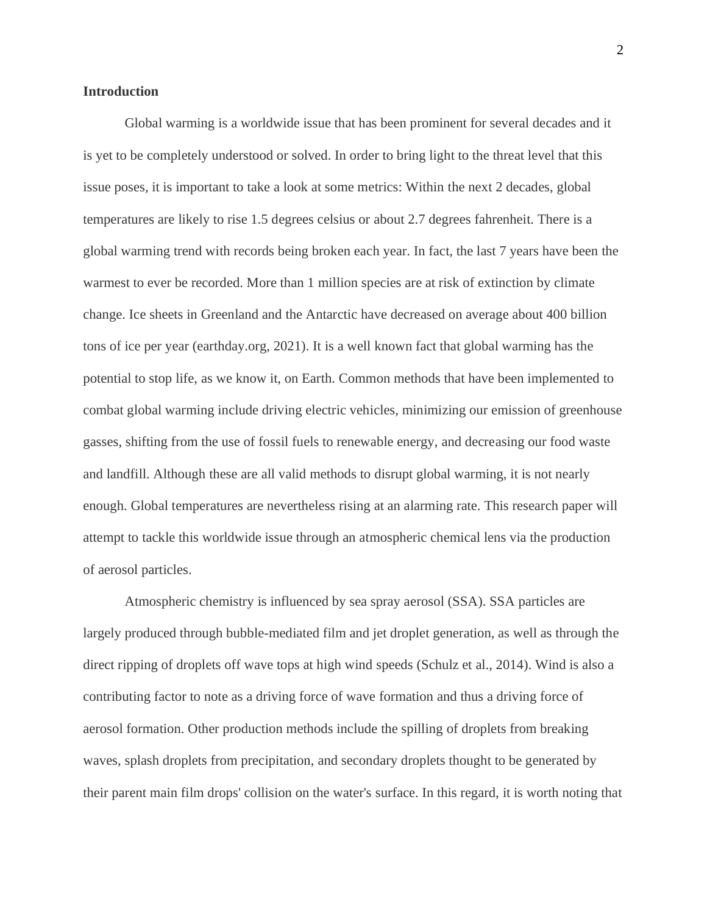### **Introduction**

Global warming is a worldwide issue that has been prominent for several decades and it is yet to be completely understood or solved. In order to bring light to the threat level that this issue poses, it is important to take a look at some metrics: Within the next 2 decades, global temperatures are likely to rise 1.5 degrees celsius or about 2.7 degrees fahrenheit. There is a global warming trend with records being broken each year. In fact, the last 7 years have been the warmest to ever be recorded. More than 1 million species are at risk of extinction by climate change. Ice sheets in Greenland and the Antarctic have decreased on average about 400 billion tons of ice per year (earthday.org, 2021). It is a well known fact that global warming has the potential to stop life, as we know it, on Earth. Common methods that have been implemented to combat global warming include driving electric vehicles, minimizing our emission of greenhouse gasses, shifting from the use of fossil fuels to renewable energy, and decreasing our food waste and landfill. Although these are all valid methods to disrupt global warming, it is not nearly enough. Global temperatures are nevertheless rising at an alarming rate. This research paper will attempt to tackle this worldwide issue through an atmospheric chemical lens via the production of aerosol particles.

Atmospheric chemistry is influenced by sea spray aerosol (SSA). SSA particles are largely produced through bubble-mediated film and jet droplet generation, as well as through the direct ripping of droplets off wave tops at high wind speeds (Schulz et al., 2014). Wind is also a contributing factor to note as a driving force of wave formation and thus a driving force of aerosol formation. Other production methods include the spilling of droplets from breaking waves, splash droplets from precipitation, and secondary droplets thought to be generated by their parent main film drops' collision on the water's surface. In this regard, it is worth noting that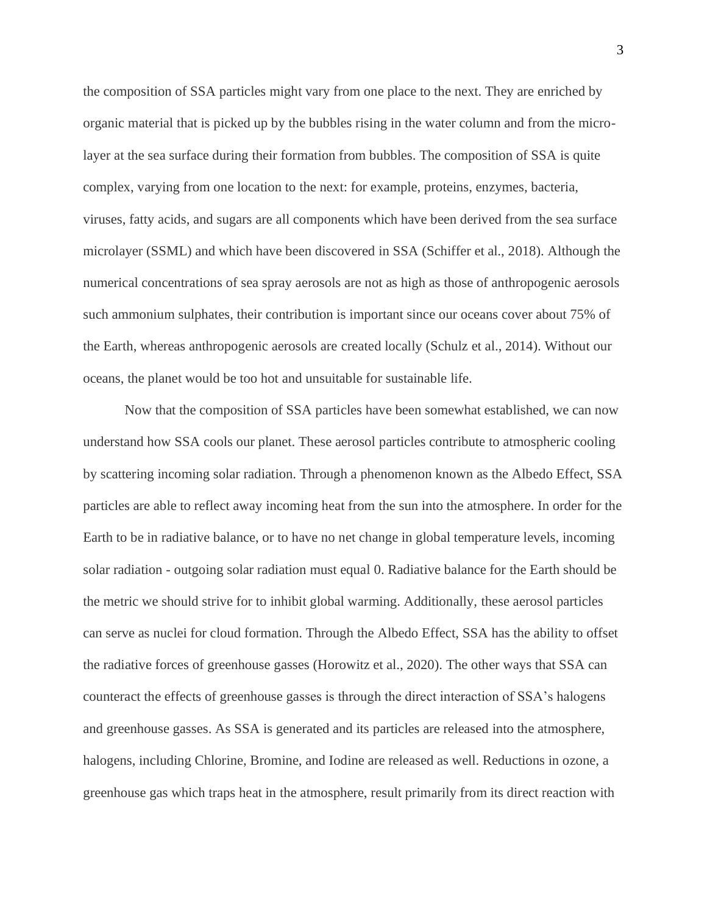the composition of SSA particles might vary from one place to the next. They are enriched by organic material that is picked up by the bubbles rising in the water column and from the microlayer at the sea surface during their formation from bubbles. The composition of SSA is quite complex, varying from one location to the next: for example, proteins, enzymes, bacteria, viruses, fatty acids, and sugars are all components which have been derived from the sea surface microlayer (SSML) and which have been discovered in SSA (Schiffer et al., 2018). Although the numerical concentrations of sea spray aerosols are not as high as those of anthropogenic aerosols such ammonium sulphates, their contribution is important since our oceans cover about 75% of the Earth, whereas anthropogenic aerosols are created locally (Schulz et al., 2014). Without our oceans, the planet would be too hot and unsuitable for sustainable life.

Now that the composition of SSA particles have been somewhat established, we can now understand how SSA cools our planet. These aerosol particles contribute to atmospheric cooling by scattering incoming solar radiation. Through a phenomenon known as the Albedo Effect, SSA particles are able to reflect away incoming heat from the sun into the atmosphere. In order for the Earth to be in radiative balance, or to have no net change in global temperature levels, incoming solar radiation - outgoing solar radiation must equal 0. Radiative balance for the Earth should be the metric we should strive for to inhibit global warming. Additionally, these aerosol particles can serve as nuclei for cloud formation. Through the Albedo Effect, SSA has the ability to offset the radiative forces of greenhouse gasses (Horowitz et al., 2020). The other ways that SSA can counteract the effects of greenhouse gasses is through the direct interaction of SSA's halogens and greenhouse gasses. As SSA is generated and its particles are released into the atmosphere, halogens, including Chlorine, Bromine, and Iodine are released as well. Reductions in ozone, a greenhouse gas which traps heat in the atmosphere, result primarily from its direct reaction with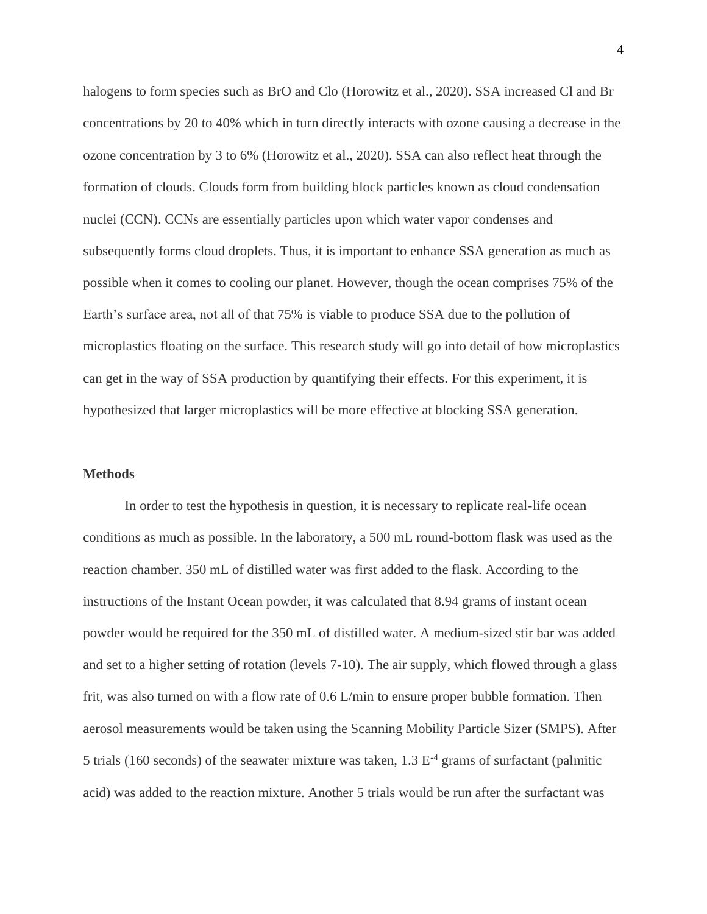halogens to form species such as BrO and Clo (Horowitz et al., 2020). SSA increased Cl and Br concentrations by 20 to 40% which in turn directly interacts with ozone causing a decrease in the ozone concentration by 3 to 6% (Horowitz et al., 2020). SSA can also reflect heat through the formation of clouds. Clouds form from building block particles known as cloud condensation nuclei (CCN). CCNs are essentially particles upon which water vapor condenses and subsequently forms cloud droplets. Thus, it is important to enhance SSA generation as much as possible when it comes to cooling our planet. However, though the ocean comprises 75% of the Earth's surface area, not all of that 75% is viable to produce SSA due to the pollution of microplastics floating on the surface. This research study will go into detail of how microplastics can get in the way of SSA production by quantifying their effects. For this experiment, it is hypothesized that larger microplastics will be more effective at blocking SSA generation.

#### **Methods**

In order to test the hypothesis in question, it is necessary to replicate real-life ocean conditions as much as possible. In the laboratory, a 500 mL round-bottom flask was used as the reaction chamber. 350 mL of distilled water was first added to the flask. According to the instructions of the Instant Ocean powder, it was calculated that 8.94 grams of instant ocean powder would be required for the 350 mL of distilled water. A medium-sized stir bar was added and set to a higher setting of rotation (levels 7-10). The air supply, which flowed through a glass frit, was also turned on with a flow rate of 0.6 L/min to ensure proper bubble formation. Then aerosol measurements would be taken using the Scanning Mobility Particle Sizer (SMPS). After 5 trials (160 seconds) of the seawater mixture was taken,  $1.3 E<sup>-4</sup>$  grams of surfactant (palmitic acid) was added to the reaction mixture. Another 5 trials would be run after the surfactant was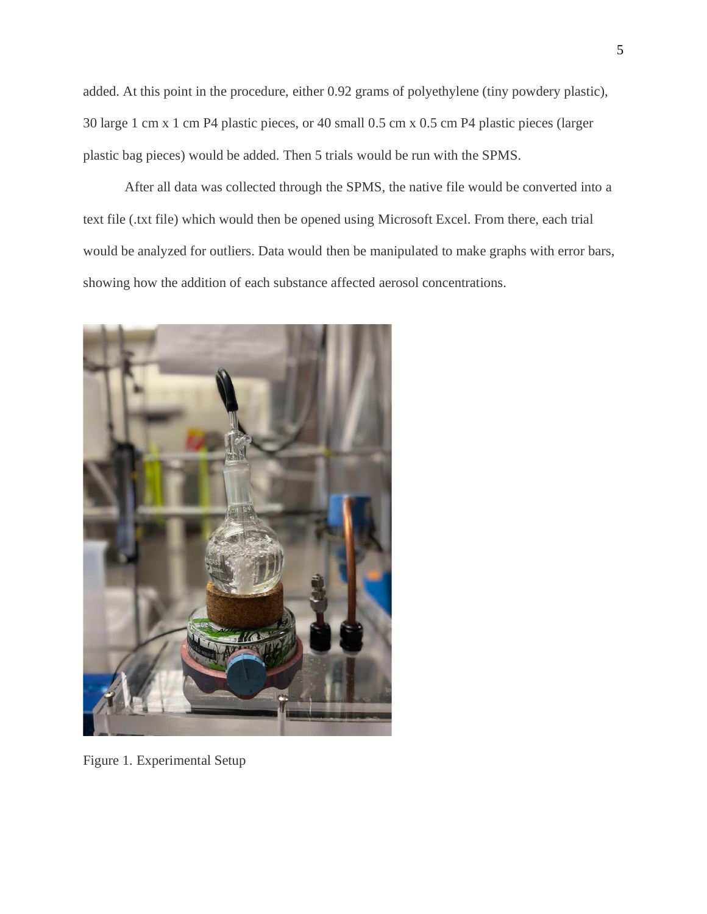added. At this point in the procedure, either 0.92 grams of polyethylene (tiny powdery plastic), 30 large 1 cm x 1 cm P4 plastic pieces, or 40 small 0.5 cm x 0.5 cm P4 plastic pieces (larger plastic bag pieces) would be added. Then 5 trials would be run with the SPMS.

After all data was collected through the SPMS, the native file would be converted into a text file (.txt file) which would then be opened using Microsoft Excel. From there, each trial would be analyzed for outliers. Data would then be manipulated to make graphs with error bars, showing how the addition of each substance affected aerosol concentrations.



Figure 1. Experimental Setup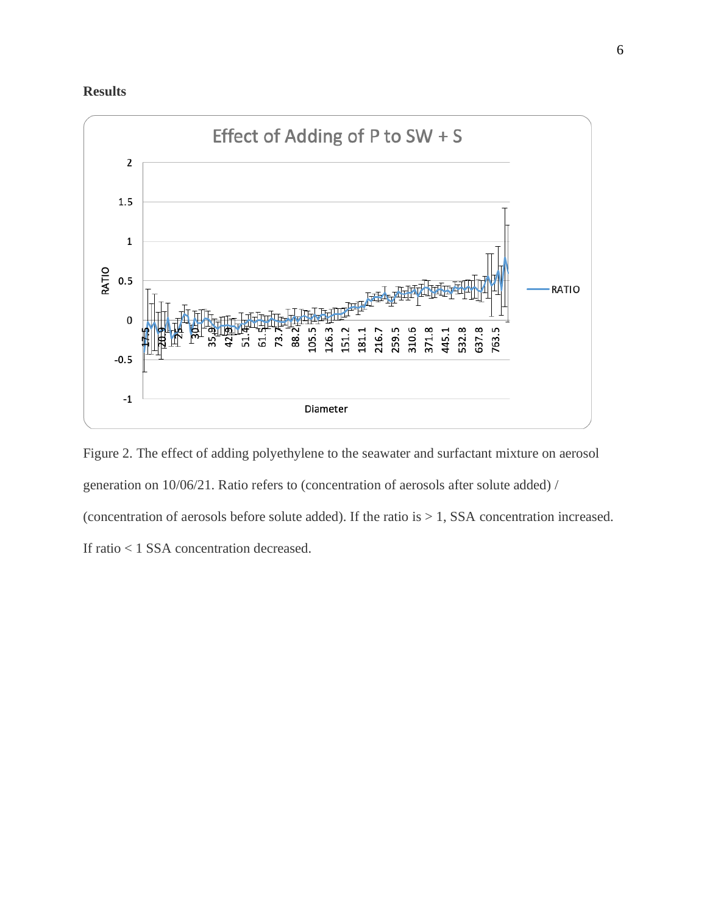



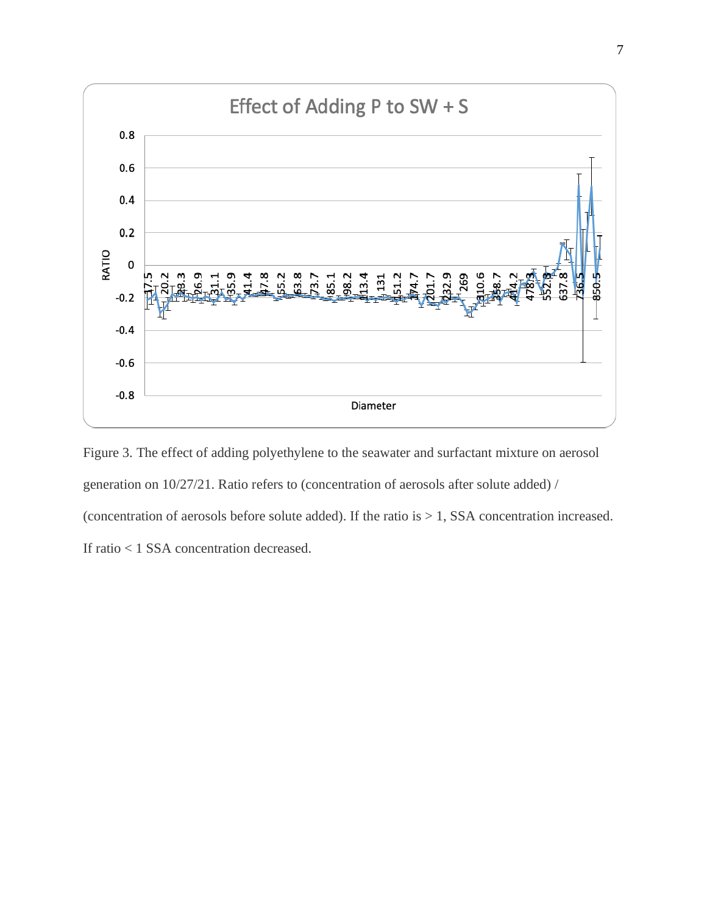

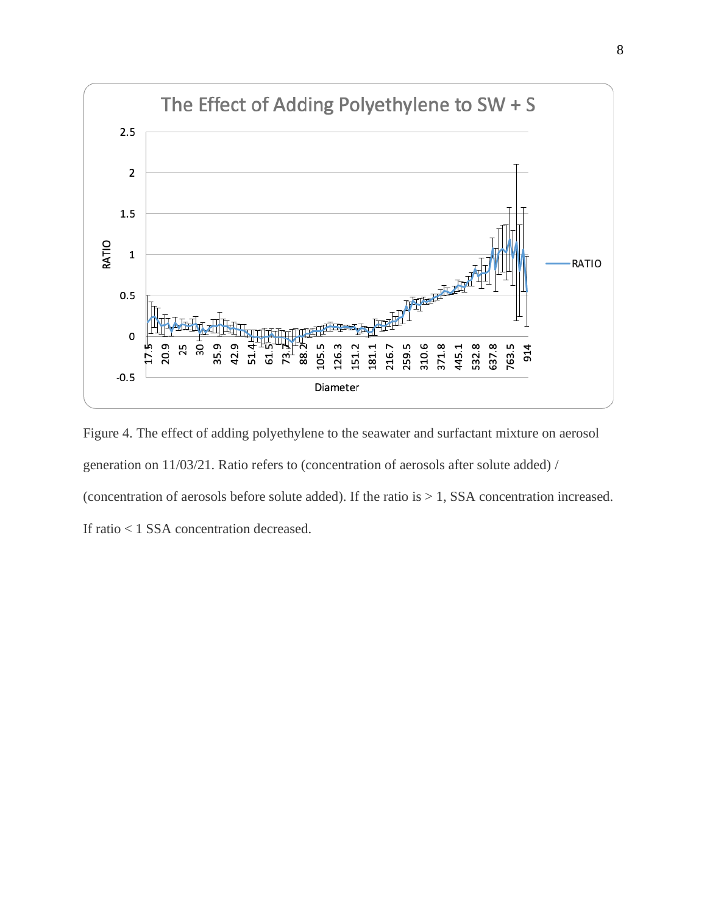

Figure 4. The effect of adding polyethylene to the seawater and surfactant mixture on aerosol generation on 11/03/21. Ratio refers to (concentration of aerosols after solute added) / (concentration of aerosols before solute added). If the ratio is  $> 1$ , SSA concentration increased. If ratio < 1 SSA concentration decreased.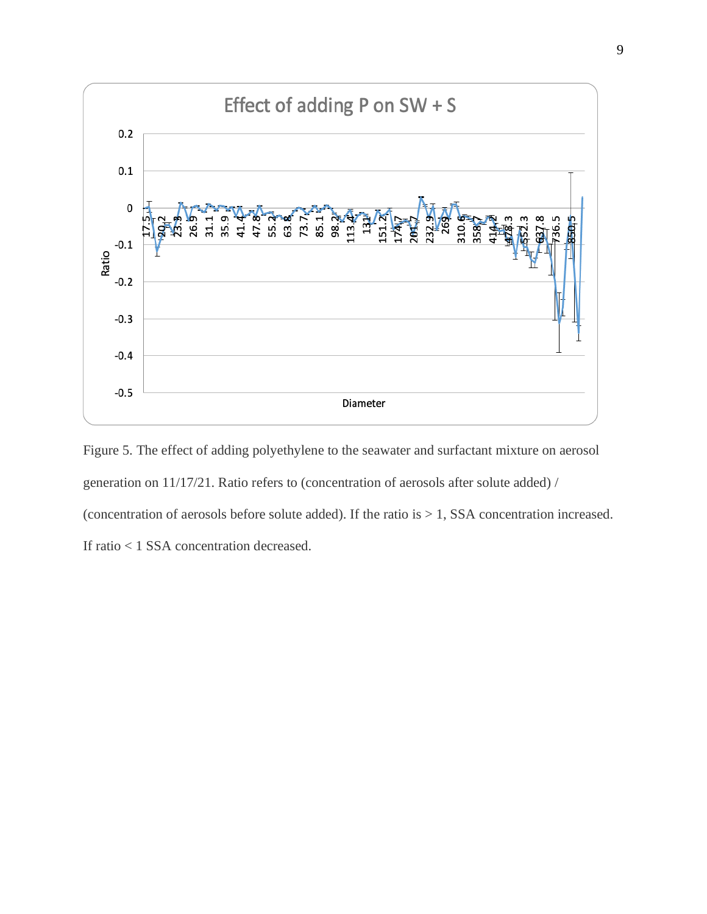

Figure 5. The effect of adding polyethylene to the seawater and surfactant mixture on aerosol generation on 11/17/21. Ratio refers to (concentration of aerosols after solute added) / (concentration of aerosols before solute added). If the ratio is > 1, SSA concentration increased. If ratio < 1 SSA concentration decreased.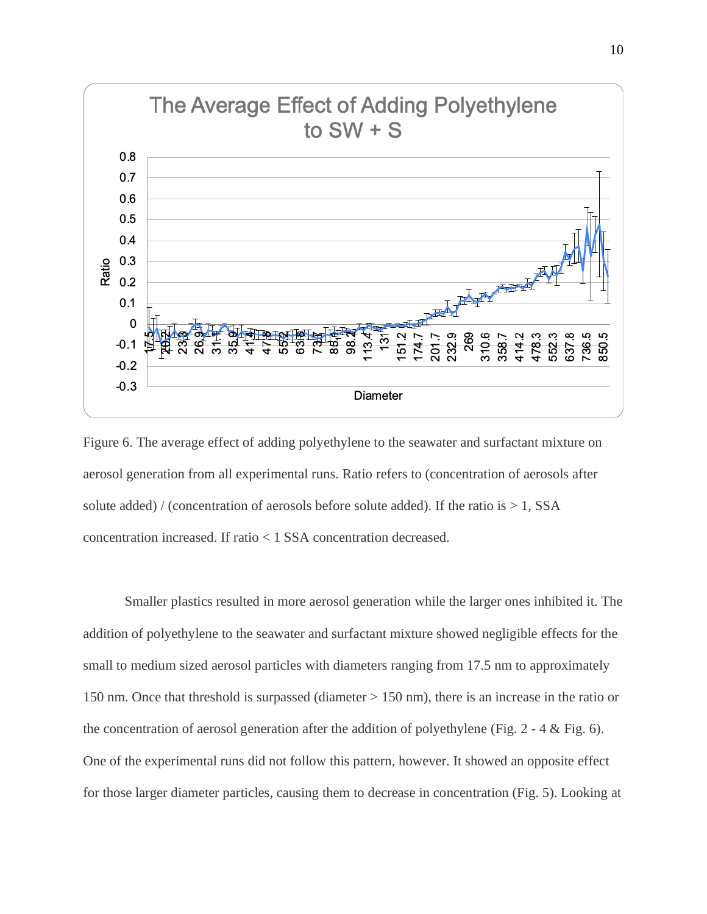

Figure 6. The average effect of adding polyethylene to the seawater and surfactant mixture on aerosol generation from all experimental runs. Ratio refers to (concentration of aerosols after solute added) / (concentration of aerosols before solute added). If the ratio is  $> 1$ , SSA concentration increased. If ratio < 1 SSA concentration decreased.

Smaller plastics resulted in more aerosol generation while the larger ones inhibited it. The addition of polyethylene to the seawater and surfactant mixture showed negligible effects for the small to medium sized aerosol particles with diameters ranging from 17.5 nm to approximately 150 nm. Once that threshold is surpassed (diameter > 150 nm), there is an increase in the ratio or the concentration of aerosol generation after the addition of polyethylene (Fig. 2 - 4 & Fig. 6). One of the experimental runs did not follow this pattern, however. It showed an opposite effect for those larger diameter particles, causing them to decrease in concentration (Fig. 5). Looking at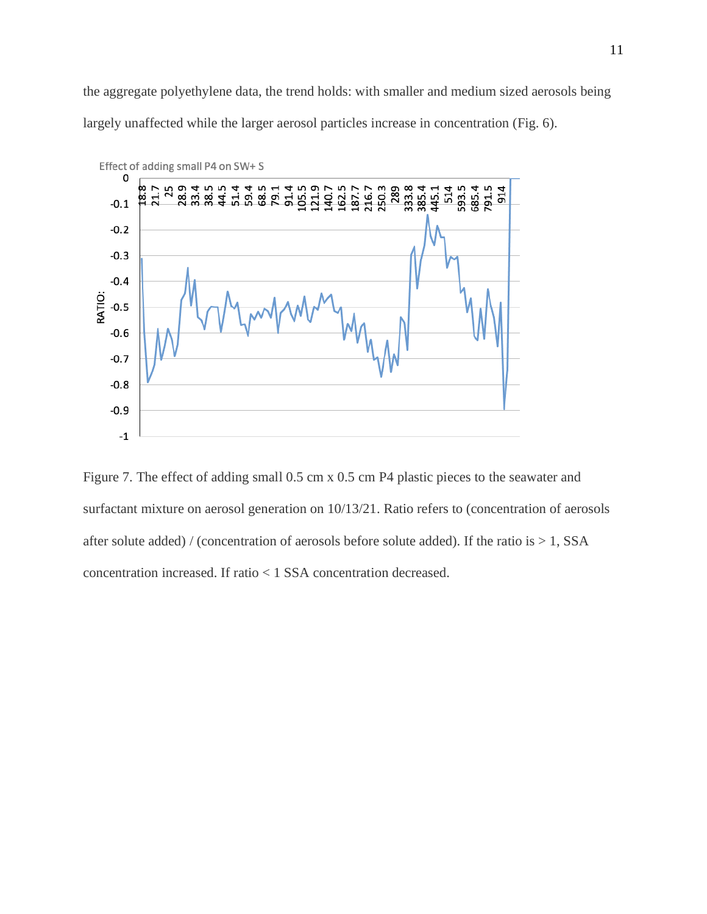the aggregate polyethylene data, the trend holds: with smaller and medium sized aerosols being largely unaffected while the larger aerosol particles increase in concentration (Fig. 6).



Figure 7. The effect of adding small 0.5 cm x 0.5 cm P4 plastic pieces to the seawater and surfactant mixture on aerosol generation on 10/13/21. Ratio refers to (concentration of aerosols after solute added) / (concentration of aerosols before solute added). If the ratio is  $> 1$ , SSA concentration increased. If ratio < 1 SSA concentration decreased.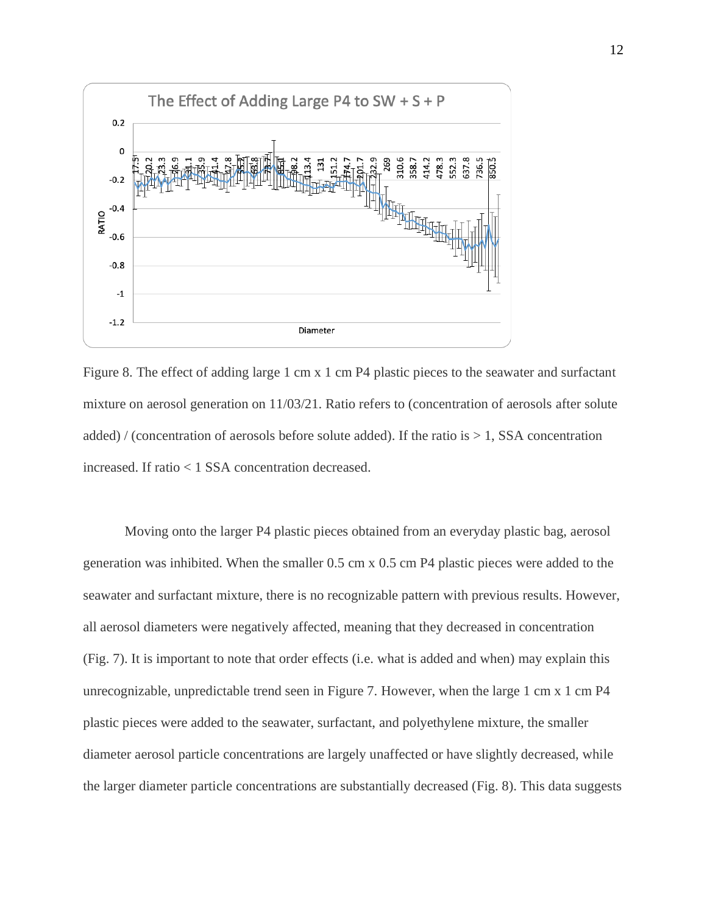

Figure 8. The effect of adding large 1 cm x 1 cm P4 plastic pieces to the seawater and surfactant mixture on aerosol generation on 11/03/21. Ratio refers to (concentration of aerosols after solute added) / (concentration of aerosols before solute added). If the ratio is  $> 1$ , SSA concentration increased. If ratio < 1 SSA concentration decreased.

Moving onto the larger P4 plastic pieces obtained from an everyday plastic bag, aerosol generation was inhibited. When the smaller 0.5 cm x 0.5 cm P4 plastic pieces were added to the seawater and surfactant mixture, there is no recognizable pattern with previous results. However, all aerosol diameters were negatively affected, meaning that they decreased in concentration (Fig. 7). It is important to note that order effects (i.e. what is added and when) may explain this unrecognizable, unpredictable trend seen in Figure 7. However, when the large 1 cm x 1 cm P4 plastic pieces were added to the seawater, surfactant, and polyethylene mixture, the smaller diameter aerosol particle concentrations are largely unaffected or have slightly decreased, while the larger diameter particle concentrations are substantially decreased (Fig. 8). This data suggests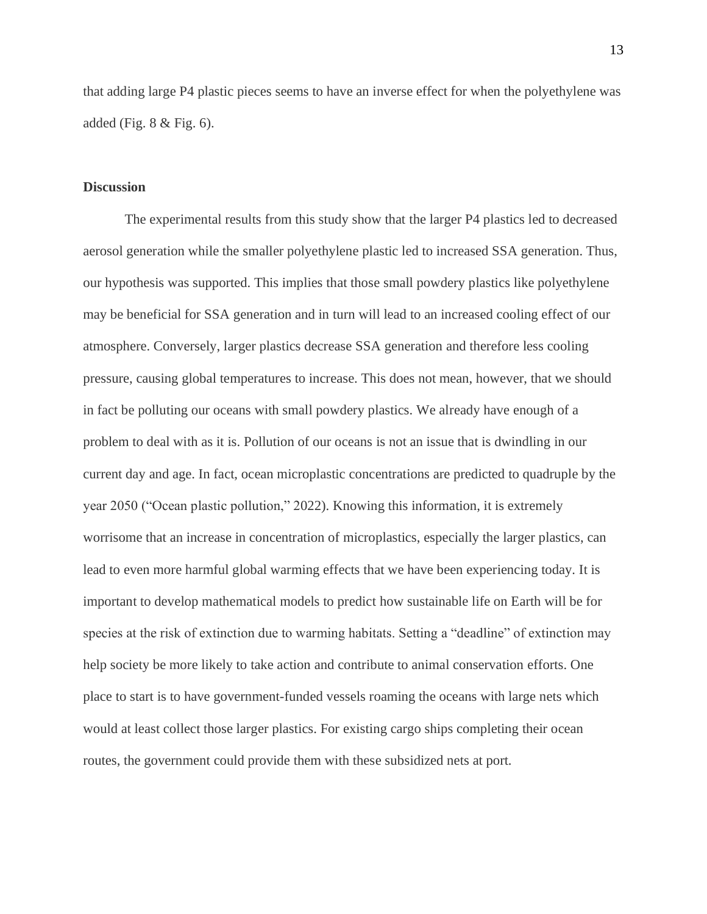that adding large P4 plastic pieces seems to have an inverse effect for when the polyethylene was added (Fig. 8 & Fig. 6).

### **Discussion**

The experimental results from this study show that the larger P4 plastics led to decreased aerosol generation while the smaller polyethylene plastic led to increased SSA generation. Thus, our hypothesis was supported. This implies that those small powdery plastics like polyethylene may be beneficial for SSA generation and in turn will lead to an increased cooling effect of our atmosphere. Conversely, larger plastics decrease SSA generation and therefore less cooling pressure, causing global temperatures to increase. This does not mean, however, that we should in fact be polluting our oceans with small powdery plastics. We already have enough of a problem to deal with as it is. Pollution of our oceans is not an issue that is dwindling in our current day and age. In fact, ocean microplastic concentrations are predicted to quadruple by the year 2050 ("Ocean plastic pollution," 2022). Knowing this information, it is extremely worrisome that an increase in concentration of microplastics, especially the larger plastics, can lead to even more harmful global warming effects that we have been experiencing today. It is important to develop mathematical models to predict how sustainable life on Earth will be for species at the risk of extinction due to warming habitats. Setting a "deadline" of extinction may help society be more likely to take action and contribute to animal conservation efforts. One place to start is to have government-funded vessels roaming the oceans with large nets which would at least collect those larger plastics. For existing cargo ships completing their ocean routes, the government could provide them with these subsidized nets at port.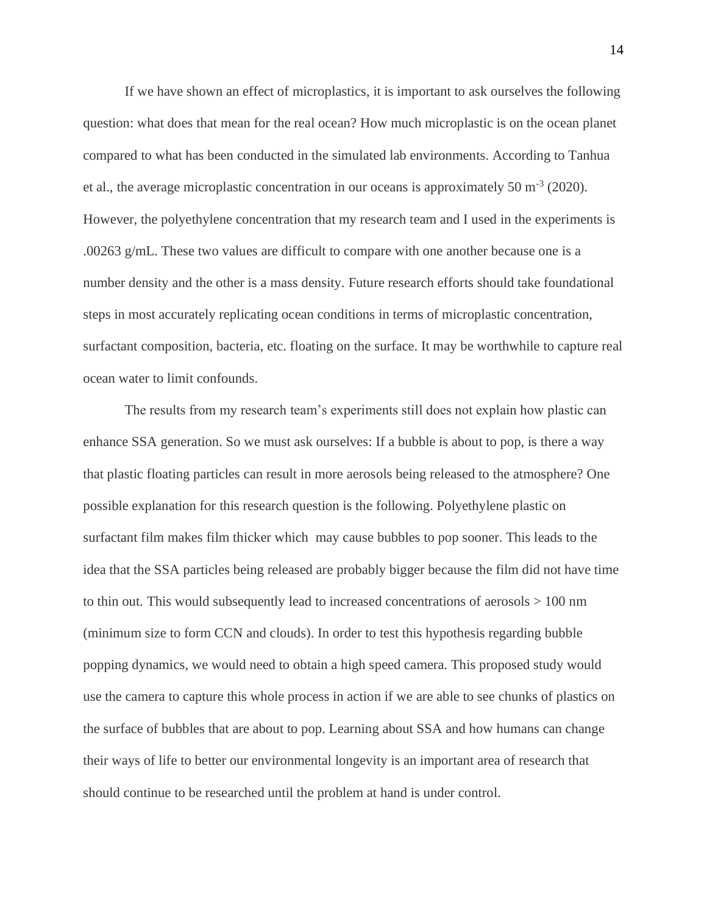If we have shown an effect of microplastics, it is important to ask ourselves the following question: what does that mean for the real ocean? How much microplastic is on the ocean planet compared to what has been conducted in the simulated lab environments. According to Tanhua et al., the average microplastic concentration in our oceans is approximately 50 m<sup>-3</sup> (2020). However, the polyethylene concentration that my research team and I used in the experiments is .00263 g/mL. These two values are difficult to compare with one another because one is a number density and the other is a mass density. Future research efforts should take foundational steps in most accurately replicating ocean conditions in terms of microplastic concentration, surfactant composition, bacteria, etc. floating on the surface. It may be worthwhile to capture real ocean water to limit confounds.

The results from my research team's experiments still does not explain how plastic can enhance SSA generation. So we must ask ourselves: If a bubble is about to pop, is there a way that plastic floating particles can result in more aerosols being released to the atmosphere? One possible explanation for this research question is the following. Polyethylene plastic on surfactant film makes film thicker which may cause bubbles to pop sooner. This leads to the idea that the SSA particles being released are probably bigger because the film did not have time to thin out. This would subsequently lead to increased concentrations of aerosols > 100 nm (minimum size to form CCN and clouds). In order to test this hypothesis regarding bubble popping dynamics, we would need to obtain a high speed camera. This proposed study would use the camera to capture this whole process in action if we are able to see chunks of plastics on the surface of bubbles that are about to pop. Learning about SSA and how humans can change their ways of life to better our environmental longevity is an important area of research that should continue to be researched until the problem at hand is under control.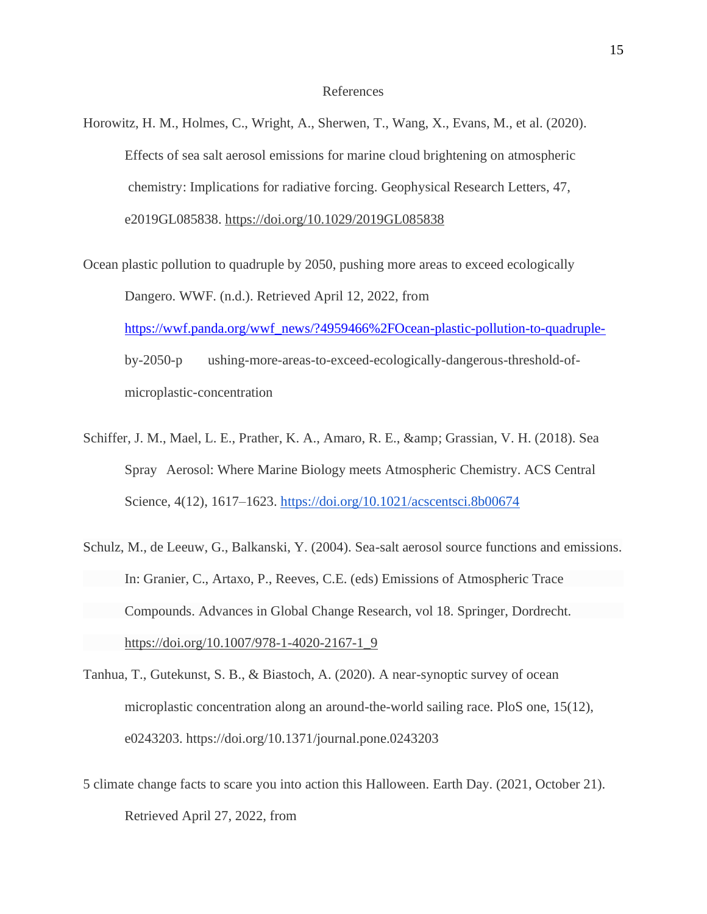#### References

- Horowitz, H. M., Holmes, C., Wright, A., Sherwen, T., Wang, X., Evans, M., et al. (2020). Effects of sea salt aerosol emissions for marine cloud brightening on atmospheric chemistry: Implications for radiative forcing. Geophysical Research Letters, 47, e2019GL085838.<https://doi.org/10.1029/2019GL085838>
- Ocean plastic pollution to quadruple by 2050, pushing more areas to exceed ecologically Dangero. WWF. (n.d.). Retrieved April 12, 2022, from [https://wwf.panda.org/wwf\\_news/?4959466%2FOcean-plastic-pollution-to-quadruple](https://wwf.panda.org/wwf_news/?4959466%2FOcean-plastic-pollution-to-quadruple-)by-2050-p ushing-more-areas-to-exceed-ecologically-dangerous-threshold-ofmicroplastic-concentration
- Schiffer, J. M., Mael, L. E., Prather, K. A., Amaro, R. E., & amp; Grassian, V. H. (2018). Sea Spray Aerosol: Where Marine Biology meets Atmospheric Chemistry. ACS Central Science, 4(12), 1617–1623.<https://doi.org/10.1021/acscentsci.8b00674>
- Schulz, M., de Leeuw, G., Balkanski, Y. (2004). Sea-salt aerosol source functions and emissions. In: Granier, C., Artaxo, P., Reeves, C.E. (eds) Emissions of Atmospheric Trace Compounds. Advances in Global Change Research, vol 18. Springer, Dordrecht. [https://doi.org/10.1007/978-1-4020-2167-1\\_9](https://doi.org/10.1007/978-1-4020-2167-1_9)
- Tanhua, T., Gutekunst, S. B., & Biastoch, A. (2020). A near-synoptic survey of ocean microplastic concentration along an around-the-world sailing race. PloS one, 15(12), e0243203. https://doi.org/10.1371/journal.pone.0243203
- 5 climate change facts to scare you into action this Halloween. Earth Day. (2021, October 21). Retrieved April 27, 2022, from